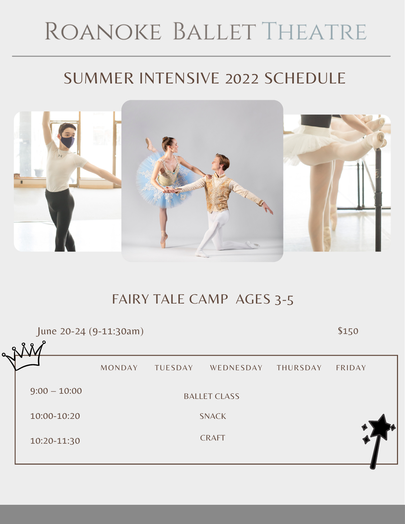# ROANOKE BALLET THEATRE

# SUMMER INTENSIVE 2022 SCHEDULE



## FAIRY TALE CAMP AGES 3-5

BALLET CLASS SNACK CRAFT MONDAY TUESDAY WEDNESDAY THURSDAY FRIDAY 9:00 – 10:00 10:00-10:20 10:20-11:30 June 20-24 (9-11:30am) \$150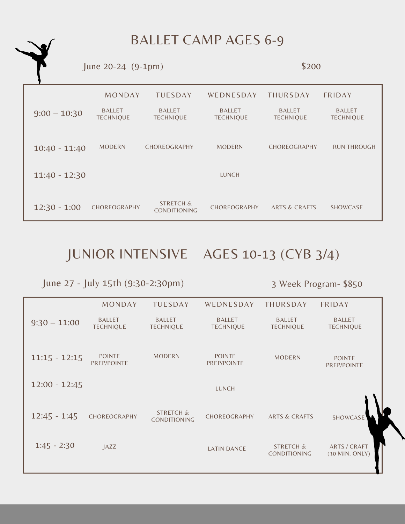BALLET CAMP AGES 6-9

 $June 20-24 (9-1pm)$  \$200



### JUNIOR INTENSIVE AGES 10-13 (CYB 3/4)

June 27 - July 15th (9:30-2:30pm) 3 Week Program- \$850

|                 | <b>MONDAY</b>                     | <b>TUESDAY</b>                              | WEDNESDAY                         | <b>THURSDAY</b>                             | FRIDAY                                |
|-----------------|-----------------------------------|---------------------------------------------|-----------------------------------|---------------------------------------------|---------------------------------------|
| $9:30 - 11:00$  | <b>BALLET</b><br><b>TECHNIQUE</b> | <b>BALLET</b><br><b>TECHNIQUE</b>           | <b>BALLET</b><br><b>TECHNIQUE</b> | <b>BALLET</b><br><b>TECHNIQUE</b>           | <b>BALLET</b><br><b>TECHNIQUE</b>     |
| $11:15 - 12:15$ | <b>POINTE</b><br>PREP/POINTE      | <b>MODERN</b>                               | <b>POINTE</b><br>PREP/POINTE      | <b>MODERN</b>                               | <b>POINTE</b><br>PREP/POINTE          |
| $12:00 - 12:45$ |                                   |                                             | <b>LUNCH</b>                      |                                             |                                       |
| $12:45 - 1:45$  | CHOREOGRAPHY                      | <b>STRETCH &amp;</b><br><b>CONDITIONING</b> | CHOREOGRAPHY                      | <b>ARTS &amp; CRAFTS</b>                    | SHOWCASE                              |
| $1:45 - 2:30$   | $\textsf{AZZ}$                    |                                             | <b>LATIN DANCE</b>                | <b>STRETCH &amp;</b><br><b>CONDITIONING</b> | <b>ARTS / CRAFT</b><br>(30 MIN. ONLY) |
|                 |                                   |                                             |                                   |                                             |                                       |